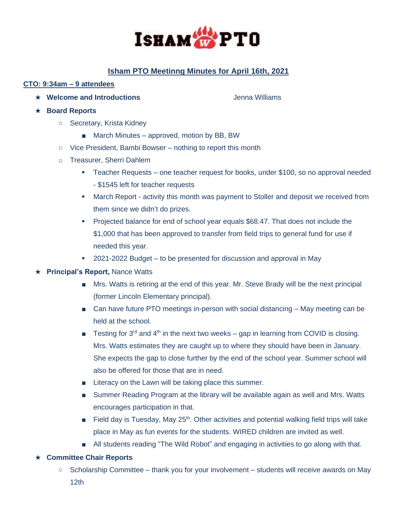

# **Isham PTO Meetinng Minutes for April 16th, 2021**

# **CTO: 9:34am – 9 attendees**

★ Welcome and Introductions **Controlleries and Introductions** and **Jenna Williams** 

- ★ **Board Reports**
	- Secretary, Krista Kidney
		- March Minutes approved, motion by BB, BW
	- Vice President, Bambi Bowser nothing to report this month
	- o Treasurer, Sherri Dahlem
		- Teacher Requests one teacher request for books, under \$100, so no approval needed - \$1545 left for teacher requests
		- **■** March Report activity this month was payment to Stoller and deposit we received from them since we didn't do prizes.
		- Projected balance for end of school year equals \$68.47. That does not include the \$1,000 that has been approved to transfer from field trips to general fund for use if needed this year.
		- 2021-2022 Budget to be presented for discussion and approval in May

## ★ **Principal's Report,** Nance Watts

- Mrs. Watts is retiring at the end of this year. Mr. Steve Brady will be the next principal (former Lincoln Elementary principal).
- Can have future PTO meetings in-person with social distancing May meeting can be held at the school.
- **EXECUTE:** Testing for 3<sup>rd</sup> and 4<sup>th</sup> in the next two weeks gap in learning from COVID is closing. Mrs. Watts estimates they are caught up to where they should have been in January. She expects the gap to close further by the end of the school year. Summer school will also be offered for those that are in need.
- Literacy on the Lawn will be taking place this summer.
- Summer Reading Program at the library will be available again as well and Mrs. Watts encourages participation in that.
- **■** Field day is Tuesday, May  $25<sup>th</sup>$ . Other activities and potential walking field trips will take place in May as fun events for the students. WIRED children are invited as well.
- All students reading "The Wild Robot" and engaging in activities to go along with that.

## ★ **Committee Chair Reports**

○ Scholarship Committee – thank you for your involvement – students will receive awards on May 12th